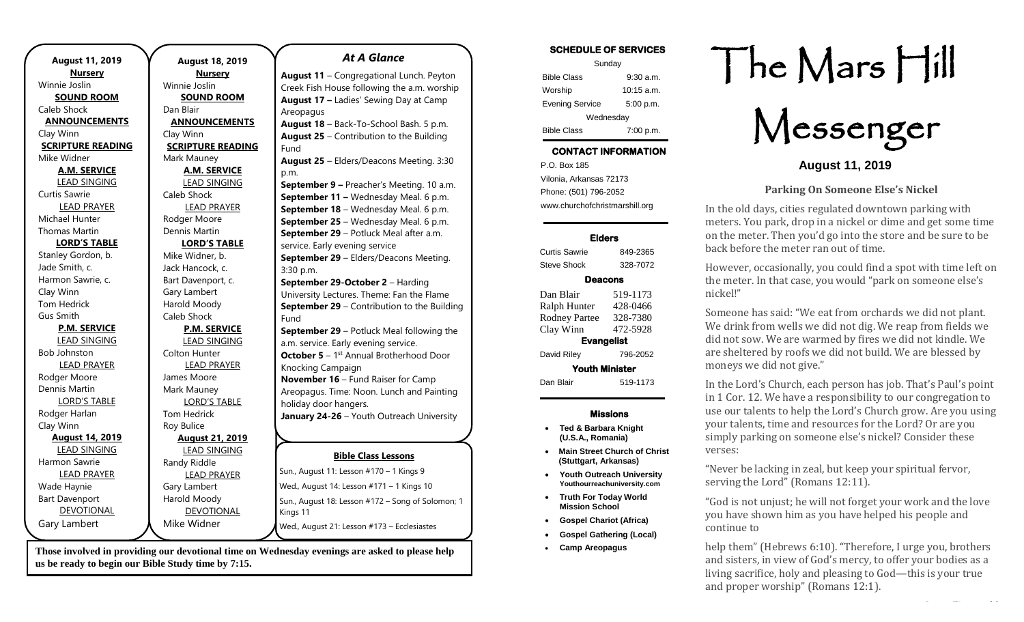| <b>August 11, 2019</b>   |  |
|--------------------------|--|
| <b>Nursery</b>           |  |
| Winnie Joslin            |  |
| <b>SOUND ROOM</b>        |  |
| Caleb Shock              |  |
| <b>ANNOUNCEMENTS</b>     |  |
| Clay Winn                |  |
| <b>SCRIPTURE READING</b> |  |
| Mike Widner              |  |
| <b>A.M. SERVICE</b>      |  |
| <b>LEAD SINGING</b>      |  |
| Curtis Sawrie            |  |
| <b>LEAD PRAYER</b>       |  |
| Michael Hunter           |  |
| Thomas Martin            |  |
| <b>LORD'S TABLE</b>      |  |
| Stanley Gordon, b.       |  |
| Jade Smith, c.           |  |
| Harmon Sawrie, c.        |  |
| Clay Winn                |  |
| <b>Tom Hedrick</b>       |  |
| Gus Smith                |  |
| <b>P.M. SERVICE</b>      |  |
| <b>LEAD SINGING</b>      |  |
| <b>Bob Johnston</b>      |  |
| <b>LEAD PRAYER</b>       |  |
| Rodger Moore             |  |
| Dennis Martin            |  |
| <b>LORD'S TABLE</b>      |  |
| Rodger Harlan            |  |
| Clay Winn                |  |
| <b>August 14, 2019</b>   |  |
| <b>LEAD SINGING</b>      |  |
| Harmon Sawrie            |  |
| <b>LEAD PRAYER</b>       |  |
| Wade Haynie              |  |
| <b>Bart Davenport</b>    |  |
| <b>DEVOTIONAL</b>        |  |
| Gary Lambert             |  |

**August 18, 2019 Nursery** Winnie Joslin **SOUND ROOM** Dan Blair **ANNOUNCEMENTS** Clay Winn **SCRIPTURE READING** Mark Mauney **A.M. SERVICE** LEAD SINGING Caleb Shock LEAD PRAYER Rodger Moore Dennis Martin **LORD'S TABLE** Mike Widner, b. Jack Hancock, c. Bart Davenport, c. Gary Lambert Harold Moody Caleb Shock **P.M. SERVICE** LEAD SINGING Colton Hunter LEAD PRAYER James Moore Mark Mauney LORD'S TABLE Tom Hedrick Roy Bulice **August 21, 2019** LEAD SINGING Randy Riddle LEAD PRAYER Gary Lambert Harold Moody DEVOTIONAL Mike Widner Kings 11 Areopagus Fund p.m. 3:30 p.m. Fund Knocking Campaign holiday door hangers.

**Those involved in providing our devotional time on Wednesday evenings are asked to please help us be ready to begin our Bible Study time by 7:15.** 

### *At A Glance*

**August 11** – Congregational Lunch. Peyton Creek Fish House following the a.m. worship **August 17 –** Ladies' Sewing Day at Camp

**August 18** – Back-To-School Bash. 5 p.m. **August 25** – Contribution to the Building

**August 25** – Elders/Deacons Meeting. 3:30

**September 9 –** Preacher's Meeting. 10 a.m. **September 11 –** Wednesday Meal. 6 p.m. **September 18** – Wednesday Meal. 6 p.m. **September 25** – Wednesday Meal. 6 p.m. **September 29** – Potluck Meal after a.m. service. Early evening service **September 29** – Elders/Deacons Meeting. **September 29-October 2** – Harding University Lectures. Theme: Fan the Flame **September 29** – Contribution to the Building **September 29** – Potluck Meal following the

a.m. service. Early evening service. **October 5** - 1<sup>st</sup> Annual Brotherhood Door **November 16** – Fund Raiser for Camp Areopagus. Time: Noon. Lunch and Painting **January 24-26** – Youth Outreach University

#### **Bible Class Lessons**

| Sun., August 11: Lesson #170 - 1 Kings 9                      |
|---------------------------------------------------------------|
| Wed., August 14: Lesson #171 – 1 Kings 10                     |
| Sun., August 18: Lesson #172 – Song of Solomon; 1<br>Kings 11 |
| Wed., August 21: Lesson #173 - Ecclesiastes                   |

### **SCHEDULE OF SERVICES**

| Sunday                 |              |  |
|------------------------|--------------|--|
| <b>Bible Class</b>     | $9:30$ a.m.  |  |
| Worship                | $10:15$ a.m. |  |
| <b>Evening Service</b> | 5:00 p.m.    |  |
| Wednesday              |              |  |
| <b>Bible Class</b>     | 7:00 p.m.    |  |

## **CONTACT INFORMATION**

. .o. Box 166<br>Vilonia, Arkansas 72173 P.O. Box 185 Phone: (501) 796-2052 www.churchofchristmarshill.org

### **Elders**

Curtis Sawrie 849-2365 Steve Shock 328-7072

## **Deacons**

Dan Blair 519-1173 Ralph Hunter 428-0466 Rodney Partee 328-7380 Clay Winn 472-5928 **Evangelist**  David Riley 796-2052 **Youth Minister**  Dan Blair 519-1173

### **Missions**

- **Ted & Barbara Knight (U.S.A., Romania)**
- **Main Street Church of Christ (Stuttgart, Arkansas)**
- **Youth Outreach University Youthourreachuniversity.com**
- **Truth For Today World Mission School**
- **Gospel Chariot (Africa)**
- **Gospel Gathering (Local)**
- **Camp Areopagus**

# The Mars Hill

Messenger

**August 11, 2019**

## **Parking On Someone Else's Nickel**

In the old days, cities regulated downtown parking with meters. You park, drop in a nickel or dime and get some time on the meter. Then you'd go into the store and be sure to be back before the meter ran out of time.

However, occasionally, you could find a spot with time left on the meter. In that case, you would "park on someone else's nickel!"

Someone has said: "We eat from orchards we did not plant. We drink from wells we did not dig. We reap from fields we did not sow. We are warmed by fires we did not kindle. We are sheltered by roofs we did not build. We are blessed by moneys we did not give."

In the Lord's Church, each person has job. That's Paul's point in 1 Cor. 12. We have a responsibility to our congregation to use our talents to help the Lord's Church grow. Are you using your talents, time and resources for the Lord? Or are you simply parking on someone else's nickel? Consider these verses:

"Never be lacking in zeal, but keep your spiritual fervor, serving the Lord" (Romans 12:11).

"God is not unjust; he will not forget your work and the love you have shown him as you have helped his people and continue to

help them" (Hebrews 6:10). "Therefore, I urge you, brothers and sisters, in view of God's mercy, to offer your bodies as a living sacrifice, holy and pleasing to God—this is your true and proper worship" (Romans 12:1).